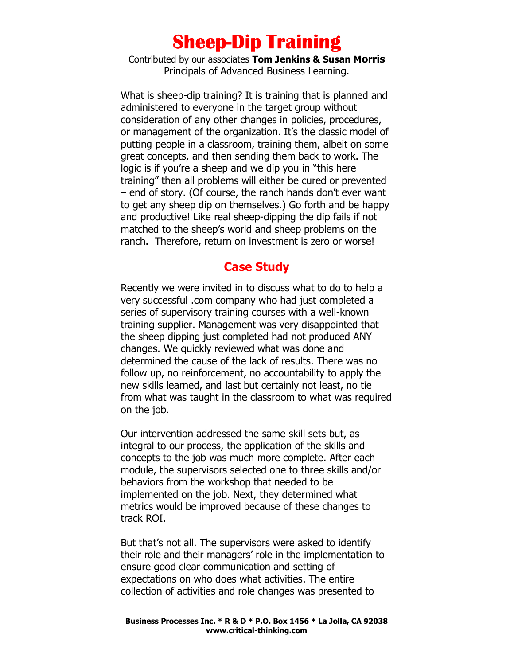## Sheep-Dip Training

Contributed by our associates Tom Jenkins & Susan Morris Principals of Advanced Business Learning.

What is sheep-dip training? It is training that is planned and administered to everyone in the target group without consideration of any other changes in policies, procedures, or management of the organization. It's the classic model of putting people in a classroom, training them, albeit on some great concepts, and then sending them back to work. The logic is if you're a sheep and we dip you in "this here training" then all problems will either be cured or prevented – end of story. (Of course, the ranch hands don't ever want to get any sheep dip on themselves.) Go forth and be happy and productive! Like real sheep-dipping the dip fails if not matched to the sheep's world and sheep problems on the ranch. Therefore, return on investment is zero or worse!

## Case Study

Recently we were invited in to discuss what to do to help a very successful .com company who had just completed a series of supervisory training courses with a well-known training supplier. Management was very disappointed that the sheep dipping just completed had not produced ANY changes. We quickly reviewed what was done and determined the cause of the lack of results. There was no follow up, no reinforcement, no accountability to apply the new skills learned, and last but certainly not least, no tie from what was taught in the classroom to what was required on the job.

Our intervention addressed the same skill sets but, as integral to our process, the application of the skills and concepts to the job was much more complete. After each module, the supervisors selected one to three skills and/or behaviors from the workshop that needed to be implemented on the job. Next, they determined what metrics would be improved because of these changes to track ROI.

But that's not all. The supervisors were asked to identify their role and their managers' role in the implementation to ensure good clear communication and setting of expectations on who does what activities. The entire collection of activities and role changes was presented to